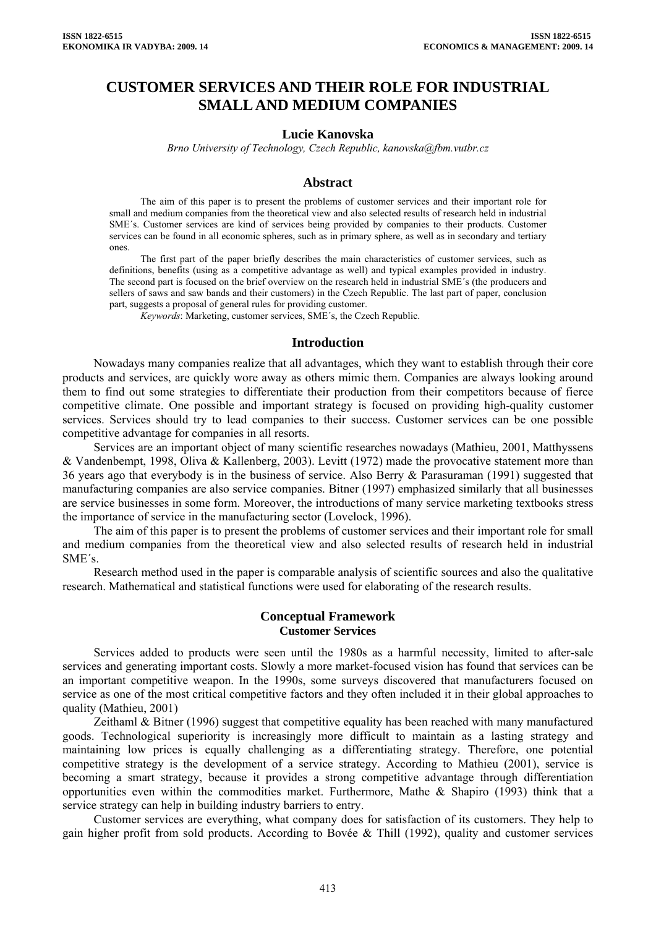# **CUSTOMER SERVICES AND THEIR ROLE FOR INDUSTRIAL SMALL AND MEDIUM COMPANIES**

## **Lucie Kanovska**

*Brno University of Technology, Czech Republic, kanovska@fbm.vutbr.cz* 

#### **Abstract**

The aim of this paper is to present the problems of customer services and their important role for small and medium companies from the theoretical view and also selected results of research held in industrial SME´s. Customer services are kind of services being provided by companies to their products. Customer services can be found in all economic spheres, such as in primary sphere, as well as in secondary and tertiary ones.

The first part of the paper briefly describes the main characteristics of customer services, such as definitions, benefits (using as a competitive advantage as well) and typical examples provided in industry. The second part is focused on the brief overview on the research held in industrial SME´s (the producers and sellers of saws and saw bands and their customers) in the Czech Republic. The last part of paper, conclusion part, suggests a proposal of general rules for providing customer.

*Keywords*: Marketing, customer services, SME´s, the Czech Republic.

#### **Introduction**

Nowadays many companies realize that all advantages, which they want to establish through their core products and services, are quickly wore away as others mimic them. Companies are always looking around them to find out some strategies to differentiate their production from their competitors because of fierce competitive climate. One possible and important strategy is focused on providing high-quality customer services. Services should try to lead companies to their success. Customer services can be one possible competitive advantage for companies in all resorts.

Services are an important object of many scientific researches nowadays (Mathieu, 2001, Matthyssens & Vandenbempt, 1998, Oliva & Kallenberg, 2003). Levitt (1972) made the provocative statement more than 36 years ago that everybody is in the business of service. Also Berry & Parasuraman (1991) suggested that manufacturing companies are also service companies. Bitner (1997) emphasized similarly that all businesses are service businesses in some form. Moreover, the introductions of many service marketing textbooks stress the importance of service in the manufacturing sector (Lovelock, 1996).

The aim of this paper is to present the problems of customer services and their important role for small and medium companies from the theoretical view and also selected results of research held in industrial SME´s.

Research method used in the paper is comparable analysis of scientific sources and also the qualitative research. Mathematical and statistical functions were used for elaborating of the research results.

#### **Conceptual Framework Customer Services**

Services added to products were seen until the 1980s as a harmful necessity, limited to after-sale services and generating important costs. Slowly a more market-focused vision has found that services can be an important competitive weapon. In the 1990s, some surveys discovered that manufacturers focused on service as one of the most critical competitive factors and they often included it in their global approaches to quality (Mathieu, 2001)

Zeithaml & Bitner (1996) suggest that competitive equality has been reached with many manufactured goods. Technological superiority is increasingly more difficult to maintain as a lasting strategy and maintaining low prices is equally challenging as a differentiating strategy. Therefore, one potential competitive strategy is the development of a service strategy. According to Mathieu (2001), service is becoming a smart strategy, because it provides a strong competitive advantage through differentiation opportunities even within the commodities market. Furthermore, Mathe & Shapiro (1993) think that a service strategy can help in building industry barriers to entry.

Customer services are everything, what company does for satisfaction of its customers. They help to gain higher profit from sold products. According to Bovée & Thill (1992), quality and customer services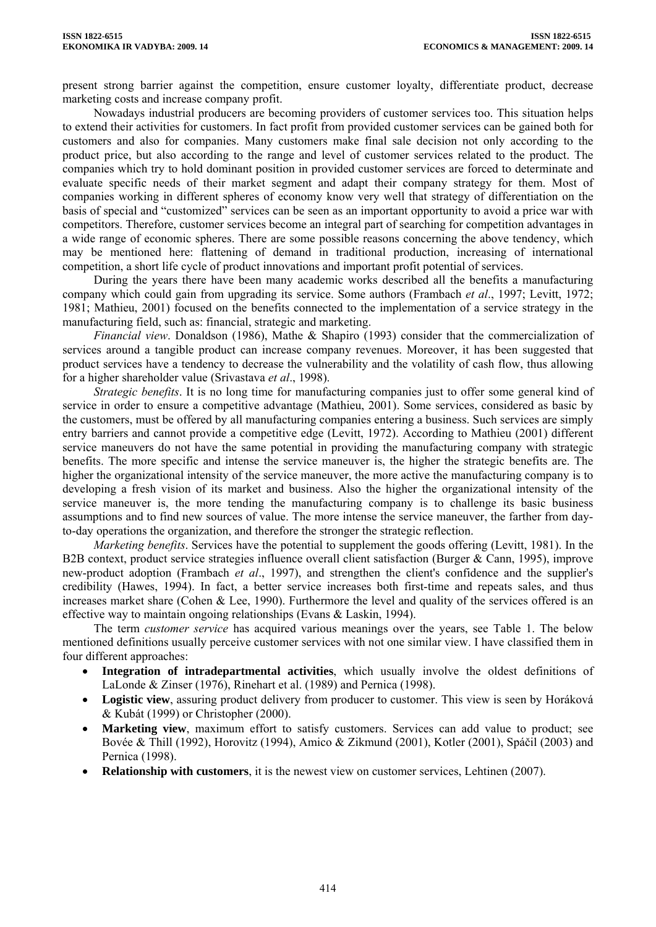present strong barrier against the competition, ensure customer loyalty, differentiate product, decrease marketing costs and increase company profit.

Nowadays industrial producers are becoming providers of customer services too. This situation helps to extend their activities for customers. In fact profit from provided customer services can be gained both for customers and also for companies. Many customers make final sale decision not only according to the product price, but also according to the range and level of customer services related to the product. The companies which try to hold dominant position in provided customer services are forced to determinate and evaluate specific needs of their market segment and adapt their company strategy for them. Most of companies working in different spheres of economy know very well that strategy of differentiation on the basis of special and "customized" services can be seen as an important opportunity to avoid a price war with competitors. Therefore, customer services become an integral part of searching for competition advantages in a wide range of economic spheres. There are some possible reasons concerning the above tendency, which may be mentioned here: flattening of demand in traditional production, increasing of international competition, a short life cycle of product innovations and important profit potential of services.

During the years there have been many academic works described all the benefits a manufacturing company which could gain from upgrading its service. Some authors (Frambach *et al*., 1997; Levitt, 1972; 1981; Mathieu, 2001) focused on the benefits connected to the implementation of a service strategy in the manufacturing field, such as: financial, strategic and marketing.

*Financial view*. Donaldson (1986), Mathe & Shapiro (1993) consider that the commercialization of services around a tangible product can increase company revenues. Moreover, it has been suggested that product services have a tendency to decrease the vulnerability and the volatility of cash flow, thus allowing for a higher shareholder value (Srivastava *et al*., 1998).

*Strategic benefits*. It is no long time for manufacturing companies just to offer some general kind of service in order to ensure a competitive advantage (Mathieu, 2001). Some services, considered as basic by the customers, must be offered by all manufacturing companies entering a business. Such services are simply entry barriers and cannot provide a competitive edge (Levitt, 1972). According to Mathieu (2001) different service maneuvers do not have the same potential in providing the manufacturing company with strategic benefits. The more specific and intense the service maneuver is, the higher the strategic benefits are. The higher the organizational intensity of the service maneuver, the more active the manufacturing company is to developing a fresh vision of its market and business. Also the higher the organizational intensity of the service maneuver is, the more tending the manufacturing company is to challenge its basic business assumptions and to find new sources of value. The more intense the service maneuver, the farther from dayto-day operations the organization, and therefore the stronger the strategic reflection.

*Marketing benefits*. Services have the potential to supplement the goods offering (Levitt, 1981). In the B2B context, product service strategies influence overall client satisfaction (Burger & Cann, 1995), improve new-product adoption (Frambach *et al*., 1997), and strengthen the client's confidence and the supplier's credibility (Hawes, 1994). In fact, a better service increases both first-time and repeats sales, and thus increases market share (Cohen & Lee, 1990). Furthermore the level and quality of the services offered is an effective way to maintain ongoing relationships (Evans & Laskin, 1994).

The term *customer service* has acquired various meanings over the years, see Table 1. The below mentioned definitions usually perceive customer services with not one similar view. I have classified them in four different approaches:

- **Integration of intradepartmental activities**, which usually involve the oldest definitions of LaLonde & Zinser (1976), Rinehart et al. (1989) and Pernica (1998).
- **Logistic view**, assuring product delivery from producer to customer. This view is seen by Horáková & Kubát (1999) or Christopher (2000).
- **Marketing view**, maximum effort to satisfy customers. Services can add value to product; see Bovée & Thill (1992), Horovitz (1994), Amico & Zikmund (2001), Kotler (2001), Spáčil (2003) and Pernica (1998).
- **Relationship with customers**, it is the newest view on customer services, Lehtinen (2007).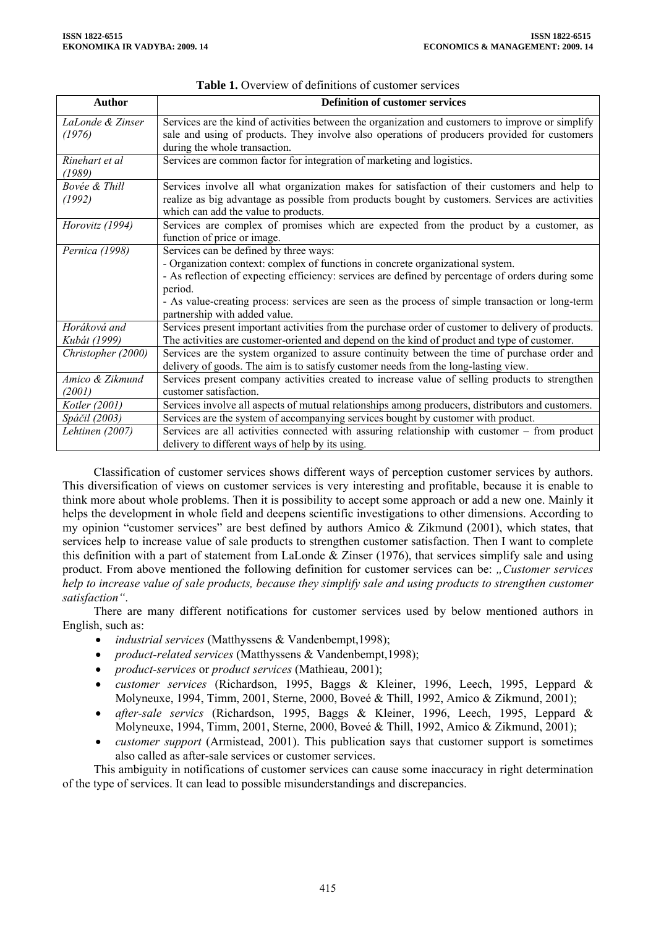| <b>Author</b>                | <b>Definition of customer services</b>                                                                                                                                                                                                                                                                                                                                         |  |  |
|------------------------------|--------------------------------------------------------------------------------------------------------------------------------------------------------------------------------------------------------------------------------------------------------------------------------------------------------------------------------------------------------------------------------|--|--|
| LaLonde & Zinser<br>(1976)   | Services are the kind of activities between the organization and customers to improve or simplify<br>sale and using of products. They involve also operations of producers provided for customers<br>during the whole transaction.                                                                                                                                             |  |  |
| Rinehart et al<br>(1989)     | Services are common factor for integration of marketing and logistics.                                                                                                                                                                                                                                                                                                         |  |  |
| Bovée & Thill<br>(1992)      | Services involve all what organization makes for satisfaction of their customers and help to<br>realize as big advantage as possible from products bought by customers. Services are activities<br>which can add the value to products.                                                                                                                                        |  |  |
| Horovitz (1994)              | Services are complex of promises which are expected from the product by a customer, as<br>function of price or image.                                                                                                                                                                                                                                                          |  |  |
| Pernica (1998)               | Services can be defined by three ways:<br>- Organization context: complex of functions in concrete organizational system.<br>- As reflection of expecting efficiency: services are defined by percentage of orders during some<br>period.<br>- As value-creating process: services are seen as the process of simple transaction or long-term<br>partnership with added value. |  |  |
| Horáková and<br>Kubát (1999) | Services present important activities from the purchase order of customer to delivery of products.<br>The activities are customer-oriented and depend on the kind of product and type of customer.                                                                                                                                                                             |  |  |
| Christopher (2000)           | Services are the system organized to assure continuity between the time of purchase order and<br>delivery of goods. The aim is to satisfy customer needs from the long-lasting view.                                                                                                                                                                                           |  |  |
| Amico & Zikmund<br>(2001)    | Services present company activities created to increase value of selling products to strengthen<br>customer satisfaction.                                                                                                                                                                                                                                                      |  |  |
| Kotler (2001)                | Services involve all aspects of mutual relationships among producers, distributors and customers.                                                                                                                                                                                                                                                                              |  |  |
| Spáčil (2003)                | Services are the system of accompanying services bought by customer with product.                                                                                                                                                                                                                                                                                              |  |  |
| Lehtinen (2007)              | Services are all activities connected with assuring relationship with customer - from product<br>delivery to different ways of help by its using.                                                                                                                                                                                                                              |  |  |

|  | <b>Table 1.</b> Overview of definitions of customer services |  |
|--|--------------------------------------------------------------|--|
|  |                                                              |  |

Classification of customer services shows different ways of perception customer services by authors. This diversification of views on customer services is very interesting and profitable, because it is enable to think more about whole problems. Then it is possibility to accept some approach or add a new one. Mainly it helps the development in whole field and deepens scientific investigations to other dimensions. According to my opinion "customer services" are best defined by authors Amico & Zikmund (2001), which states, that services help to increase value of sale products to strengthen customer satisfaction. Then I want to complete this definition with a part of statement from LaLonde & Zinser (1976), that services simplify sale and using product. From above mentioned the following definition for customer services can be: "Customer services *help to increase value of sale products, because they simplify sale and using products to strengthen customer satisfaction"*.

There are many different notifications for customer services used by below mentioned authors in English, such as:

- *industrial services* (Matthyssens & Vandenbempt,1998);
- *product-related services* (Matthyssens & Vandenbempt,1998);
- *product-services* or *product services* (Mathieau, 2001);
- *customer services* (Richardson, 1995, Baggs & Kleiner, 1996, Leech, 1995, Leppard & Molyneuxe, 1994, Timm, 2001, Sterne, 2000, Boveé & Thill, 1992, Amico & Zikmund, 2001);
- *after-sale servics* (Richardson, 1995, Baggs & Kleiner, 1996, Leech, 1995, Leppard & Molyneuxe, 1994, Timm, 2001, Sterne, 2000, Boveé & Thill, 1992, Amico & Zikmund, 2001);
- *customer support* (Armistead, 2001). This publication says that customer support is sometimes also called as after-sale services or customer services.

This ambiguity in notifications of customer services can cause some inaccuracy in right determination of the type of services. It can lead to possible misunderstandings and discrepancies.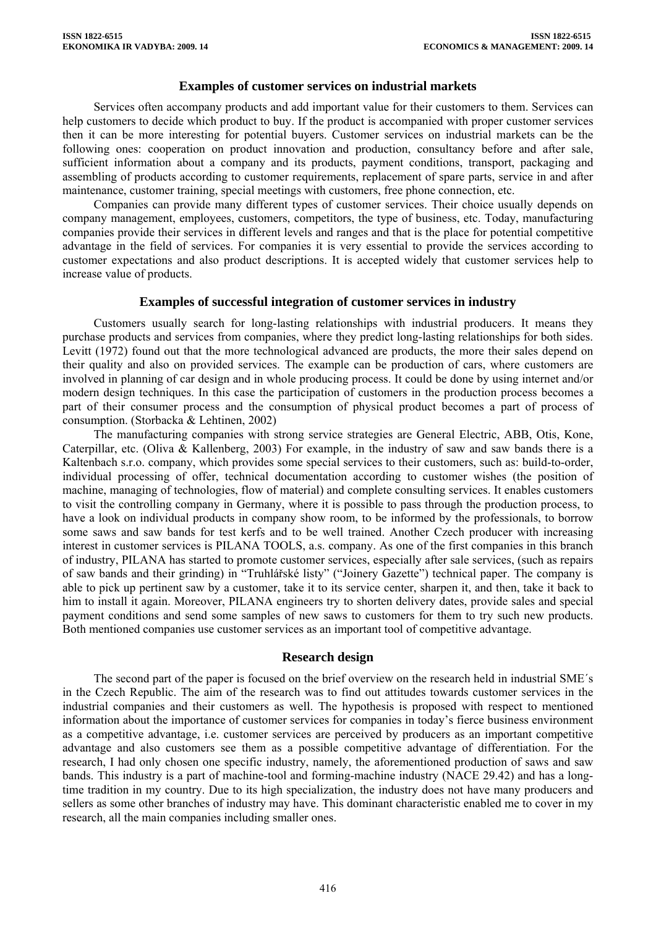### **Examples of customer services on industrial markets**

Services often accompany products and add important value for their customers to them. Services can help customers to decide which product to buy. If the product is accompanied with proper customer services then it can be more interesting for potential buyers. Customer services on industrial markets can be the following ones: cooperation on product innovation and production, consultancy before and after sale, sufficient information about a company and its products, payment conditions, transport, packaging and assembling of products according to customer requirements, replacement of spare parts, service in and after maintenance, customer training, special meetings with customers, free phone connection, etc.

Companies can provide many different types of customer services. Their choice usually depends on company management, employees, customers, competitors, the type of business, etc. Today, manufacturing companies provide their services in different levels and ranges and that is the place for potential competitive advantage in the field of services. For companies it is very essential to provide the services according to customer expectations and also product descriptions. It is accepted widely that customer services help to increase value of products.

### **Examples of successful integration of customer services in industry**

Customers usually search for long-lasting relationships with industrial producers. It means they purchase products and services from companies, where they predict long-lasting relationships for both sides. Levitt (1972) found out that the more technological advanced are products, the more their sales depend on their quality and also on provided services. The example can be production of cars, where customers are involved in planning of car design and in whole producing process. It could be done by using internet and/or modern design techniques. In this case the participation of customers in the production process becomes a part of their consumer process and the consumption of physical product becomes a part of process of consumption. (Storbacka & Lehtinen, 2002)

The manufacturing companies with strong service strategies are General Electric, ABB, Otis, Kone, Caterpillar, etc. (Oliva & Kallenberg, 2003) For example, in the industry of saw and saw bands there is a Kaltenbach s.r.o. company, which provides some special services to their customers, such as: build-to-order, individual processing of offer, technical documentation according to customer wishes (the position of machine, managing of technologies, flow of material) and complete consulting services. It enables customers to visit the controlling company in Germany, where it is possible to pass through the production process, to have a look on individual products in company show room, to be informed by the professionals, to borrow some saws and saw bands for test kerfs and to be well trained. Another Czech producer with increasing interest in customer services is PILANA TOOLS, a.s. company. As one of the first companies in this branch of industry, PILANA has started to promote customer services, especially after sale services, (such as repairs of saw bands and their grinding) in "Truhlářské listy" ("Joinery Gazette") technical paper. The company is able to pick up pertinent saw by a customer, take it to its service center, sharpen it, and then, take it back to him to install it again. Moreover, PILANA engineers try to shorten delivery dates, provide sales and special payment conditions and send some samples of new saws to customers for them to try such new products. Both mentioned companies use customer services as an important tool of competitive advantage.

#### **Research design**

The second part of the paper is focused on the brief overview on the research held in industrial SME´s in the Czech Republic. The aim of the research was to find out attitudes towards customer services in the industrial companies and their customers as well. The hypothesis is proposed with respect to mentioned information about the importance of customer services for companies in today's fierce business environment as a competitive advantage, i.e. customer services are perceived by producers as an important competitive advantage and also customers see them as a possible competitive advantage of differentiation. For the research, I had only chosen one specific industry, namely, the aforementioned production of saws and saw bands. This industry is a part of machine-tool and forming-machine industry (NACE 29.42) and has a longtime tradition in my country. Due to its high specialization, the industry does not have many producers and sellers as some other branches of industry may have. This dominant characteristic enabled me to cover in my research, all the main companies including smaller ones.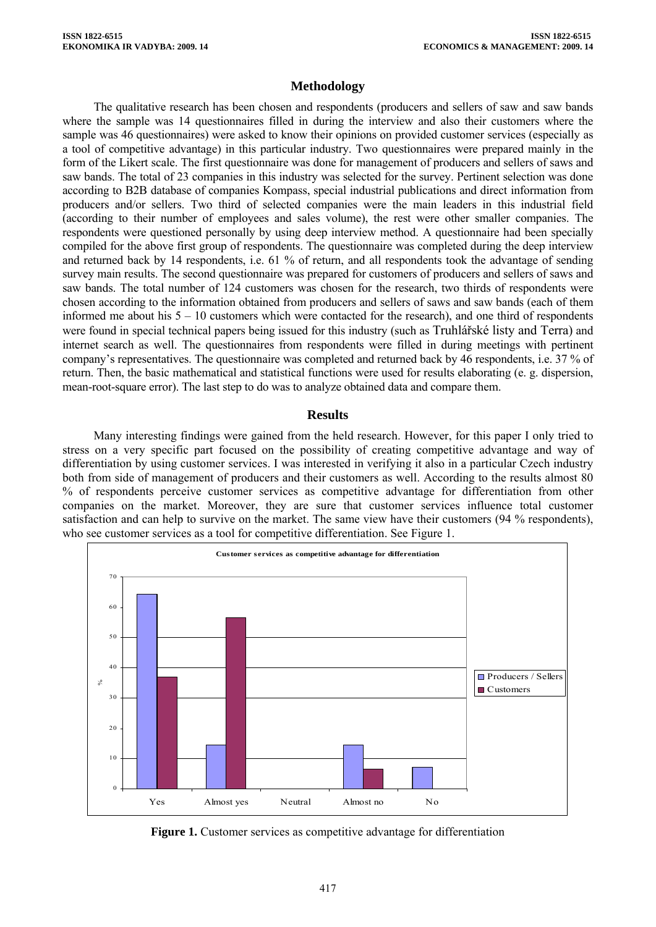## **Methodology**

The qualitative research has been chosen and respondents (producers and sellers of saw and saw bands where the sample was 14 questionnaires filled in during the interview and also their customers where the sample was 46 questionnaires) were asked to know their opinions on provided customer services (especially as a tool of competitive advantage) in this particular industry. Two questionnaires were prepared mainly in the form of the Likert scale. The first questionnaire was done for management of producers and sellers of saws and saw bands. The total of 23 companies in this industry was selected for the survey. Pertinent selection was done according to B2B database of companies Kompass, special industrial publications and direct information from producers and/or sellers. Two third of selected companies were the main leaders in this industrial field (according to their number of employees and sales volume), the rest were other smaller companies. The respondents were questioned personally by using deep interview method. A questionnaire had been specially compiled for the above first group of respondents. The questionnaire was completed during the deep interview and returned back by 14 respondents, i.e. 61 % of return, and all respondents took the advantage of sending survey main results. The second questionnaire was prepared for customers of producers and sellers of saws and saw bands. The total number of 124 customers was chosen for the research, two thirds of respondents were chosen according to the information obtained from producers and sellers of saws and saw bands (each of them informed me about his 5 – 10 customers which were contacted for the research), and one third of respondents were found in special technical papers being issued for this industry (such as Truhlářské listy and Terra) and internet search as well. The questionnaires from respondents were filled in during meetings with pertinent company's representatives. The questionnaire was completed and returned back by 46 respondents, i.e. 37 % of return. Then, the basic mathematical and statistical functions were used for results elaborating (e. g. dispersion, mean-root-square error). The last step to do was to analyze obtained data and compare them.

### **Results**

Many interesting findings were gained from the held research. However, for this paper I only tried to stress on a very specific part focused on the possibility of creating competitive advantage and way of differentiation by using customer services. I was interested in verifying it also in a particular Czech industry both from side of management of producers and their customers as well. According to the results almost 80 % of respondents perceive customer services as competitive advantage for differentiation from other companies on the market. Moreover, they are sure that customer services influence total customer satisfaction and can help to survive on the market. The same view have their customers (94 % respondents), who see customer services as a tool for competitive differentiation. See Figure 1.



**Figure 1.** Customer services as competitive advantage for differentiation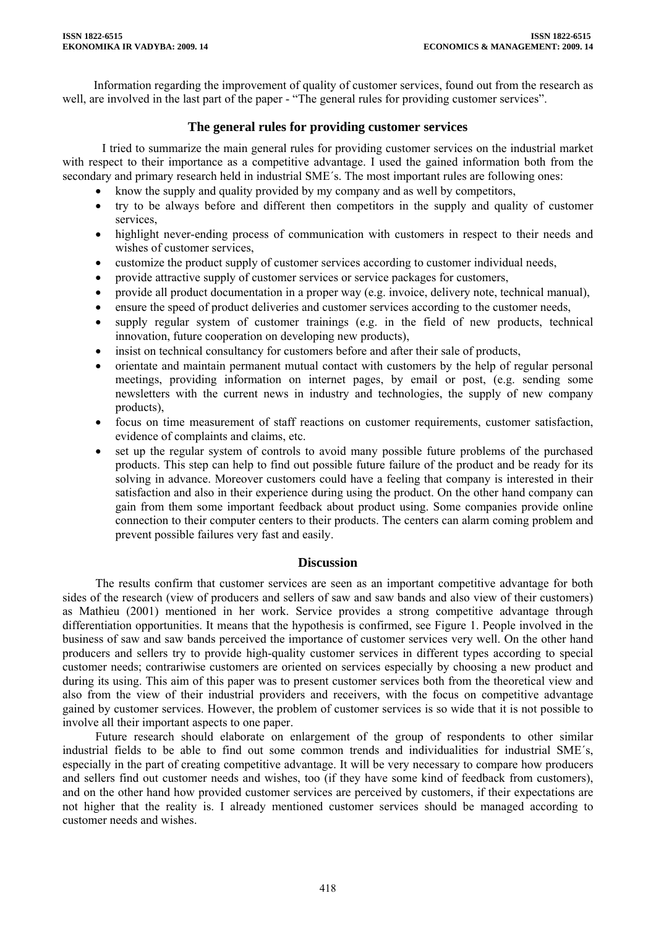Information regarding the improvement of quality of customer services, found out from the research as well, are involved in the last part of the paper - "The general rules for providing customer services".

## **The general rules for providing customer services**

I tried to summarize the main general rules for providing customer services on the industrial market with respect to their importance as a competitive advantage. I used the gained information both from the secondary and primary research held in industrial SME´s. The most important rules are following ones:

- know the supply and quality provided by my company and as well by competitors,
- try to be always before and different then competitors in the supply and quality of customer services,
- highlight never-ending process of communication with customers in respect to their needs and wishes of customer services,
- customize the product supply of customer services according to customer individual needs,
- provide attractive supply of customer services or service packages for customers,
- provide all product documentation in a proper way (e.g. invoice, delivery note, technical manual),
- ensure the speed of product deliveries and customer services according to the customer needs,
- supply regular system of customer trainings (e.g. in the field of new products, technical innovation, future cooperation on developing new products),
- insist on technical consultancy for customers before and after their sale of products,
- orientate and maintain permanent mutual contact with customers by the help of regular personal meetings, providing information on internet pages, by email or post, (e.g. sending some newsletters with the current news in industry and technologies, the supply of new company products),
- focus on time measurement of staff reactions on customer requirements, customer satisfaction, evidence of complaints and claims, etc.
- set up the regular system of controls to avoid many possible future problems of the purchased products. This step can help to find out possible future failure of the product and be ready for its solving in advance. Moreover customers could have a feeling that company is interested in their satisfaction and also in their experience during using the product. On the other hand company can gain from them some important feedback about product using. Some companies provide online connection to their computer centers to their products. The centers can alarm coming problem and prevent possible failures very fast and easily.

## **Discussion**

The results confirm that customer services are seen as an important competitive advantage for both sides of the research (view of producers and sellers of saw and saw bands and also view of their customers) as Mathieu (2001) mentioned in her work. Service provides a strong competitive advantage through differentiation opportunities. It means that the hypothesis is confirmed, see Figure 1. People involved in the business of saw and saw bands perceived the importance of customer services very well. On the other hand producers and sellers try to provide high-quality customer services in different types according to special customer needs; contrariwise customers are oriented on services especially by choosing a new product and during its using. This aim of this paper was to present customer services both from the theoretical view and also from the view of their industrial providers and receivers, with the focus on competitive advantage gained by customer services. However, the problem of customer services is so wide that it is not possible to involve all their important aspects to one paper.

Future research should elaborate on enlargement of the group of respondents to other similar industrial fields to be able to find out some common trends and individualities for industrial SME´s, especially in the part of creating competitive advantage. It will be very necessary to compare how producers and sellers find out customer needs and wishes, too (if they have some kind of feedback from customers), and on the other hand how provided customer services are perceived by customers, if their expectations are not higher that the reality is. I already mentioned customer services should be managed according to customer needs and wishes.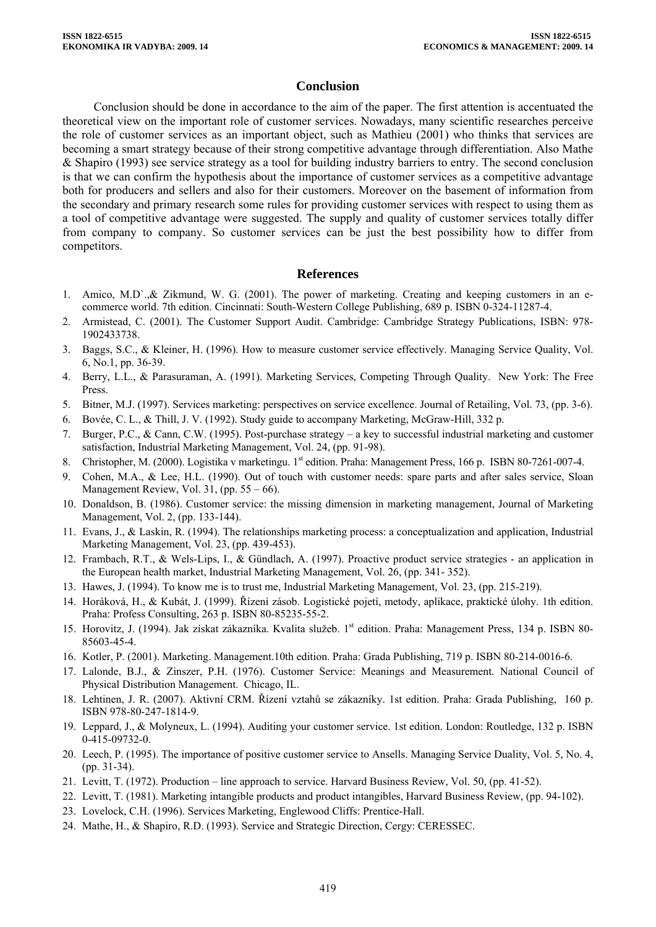### **Conclusion**

Conclusion should be done in accordance to the aim of the paper. The first attention is accentuated the theoretical view on the important role of customer services. Nowadays, many scientific researches perceive the role of customer services as an important object, such as Mathieu (2001) who thinks that services are becoming a smart strategy because of their strong competitive advantage through differentiation. Also Mathe & Shapiro (1993) see service strategy as a tool for building industry barriers to entry. The second conclusion is that we can confirm the hypothesis about the importance of customer services as a competitive advantage both for producers and sellers and also for their customers. Moreover on the basement of information from the secondary and primary research some rules for providing customer services with respect to using them as a tool of competitive advantage were suggested. The supply and quality of customer services totally differ from company to company. So customer services can be just the best possibility how to differ from competitors.

#### **References**

- 1. Amico, M.D`.,& Zikmund, W. G. (2001). The power of marketing. Creating and keeping customers in an ecommerce world. 7th edition. Cincinnati: South-Western College Publishing, 689 p. ISBN 0-324-11287-4.
- 2. Armistead, C. (2001). The Customer Support Audit. Cambridge: Cambridge Strategy Publications, ISBN: 978- 1902433738.
- 3. Baggs, S.C., & Kleiner, H. (1996). How to measure customer service effectively. Managing Service Quality, Vol. 6, No.1, pp. 36-39.
- 4. Berry, L.L., & Parasuraman, A. (1991). Marketing Services, Competing Through Quality. New York: The Free Press.
- 5. Bitner, M.J. (1997). Services marketing: perspectives on service excellence. Journal of Retailing, Vol. 73, (pp. 3-6).
- 6. Bovée, C. L., & Thill, J. V. (1992). Study guide to accompany Marketing, McGraw-Hill, 332 p.
- 7. Burger, P.C., & Cann, C.W. (1995). Post-purchase strategy a key to successful industrial marketing and customer satisfaction, Industrial Marketing Management, Vol. 24, (pp. 91-98).
- 8. Christopher, M. (2000). Logistika v marketingu. 1<sup>st</sup> edition. Praha: Management Press, 166 p. ISBN 80-7261-007-4.
- 9. Cohen, M.A., & Lee, H.L. (1990). Out of touch with customer needs: spare parts and after sales service, Sloan Management Review, Vol. 31, (pp.  $55 - 66$ ).
- 10. Donaldson, B. (1986). Customer service: the missing dimension in marketing management, Journal of Marketing Management, Vol. 2, (pp. 133-144).
- 11. Evans, J., & Laskin, R. (1994). The relationships marketing process: a conceptualization and application, Industrial Marketing Management, Vol. 23, (pp. 439-453).
- 12. Frambach, R.T., & Wels-Lips, I., & Gündlach, A. (1997). Proactive product service strategies an application in the European health market, Industrial Marketing Management, Vol. 26, (pp. 341- 352).
- 13. Hawes, J. (1994). To know me is to trust me, Industrial Marketing Management, Vol. 23, (pp. 215-219).
- 14. Horáková, H., & Kubát, J. (1999). Řízení zásob. Logistické pojetí, metody, aplikace, praktické úlohy. 1th edition. Praha: Profess Consulting, 263 p. ISBN 80-85235-55-2.
- 15. Horovitz, J. (1994). Jak získat zákazníka. Kvalita služeb. 1st edition. Praha: Management Press, 134 p. ISBN 80- 85603-45-4.
- 16. Kotler, P. (2001). Marketing. Management.10th edition. Praha: Grada Publishing, 719 p. ISBN 80-214-0016-6.
- 17. Lalonde, B.J., & Zinszer, P.H. (1976). Customer Service: Meanings and Measurement. National Council of Physical Distribution Management. Chicago, IL.
- 18. Lehtinen, J. R. (2007). Aktivní CRM. Řízení vztahů se zákazníky. 1st edition. Praha: Grada Publishing, 160 p. ISBN 978-80-247-1814-9.
- 19. Leppard, J., & Molyneux, L. (1994). Auditing your customer service. 1st edition. London: Routledge, 132 p. ISBN 0-415-09732-0.
- 20. Leech, P. (1995). The importance of positive customer service to Ansells. Managing Service Duality, Vol. 5, No. 4, (pp. 31-34).
- 21. Levitt, T. (1972). Production line approach to service. Harvard Business Review, Vol. 50, (pp. 41-52).
- 22. Levitt, T. (1981). Marketing intangible products and product intangibles, Harvard Business Review, (pp. 94-102).
- 23. Lovelock, C.H. (1996). Services Marketing, Englewood Cliffs: Prentice-Hall.
- 24. Mathe, H., & Shapiro, R.D. (1993). Service and Strategic Direction, Cergy: CERESSEC.